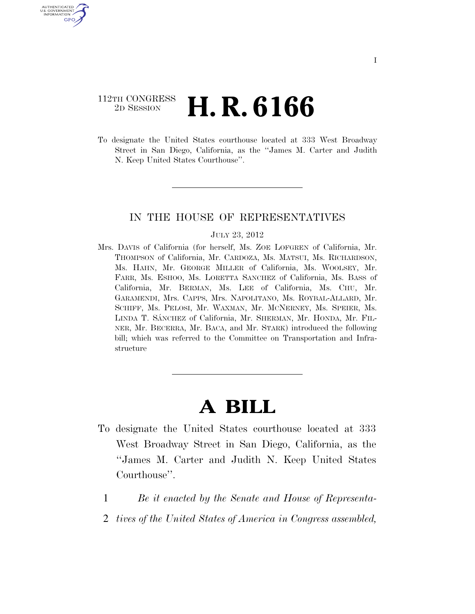## 112TH CONGRESS <sup>2D SESSION</sup> **H. R. 6166**

U.S. GOVERNMENT GPO

> To designate the United States courthouse located at 333 West Broadway Street in San Diego, California, as the ''James M. Carter and Judith N. Keep United States Courthouse''.

### IN THE HOUSE OF REPRESENTATIVES

#### JULY 23, 2012

Mrs. DAVIS of California (for herself, Ms. ZOE LOFGREN of California, Mr. THOMPSON of California, Mr. CARDOZA, Ms. MATSUI, Ms. RICHARDSON, Ms. HAHN, Mr. GEORGE MILLER of California, Ms. WOOLSEY, Mr. FARR, Ms. ESHOO, Ms. LORETTA SANCHEZ of California, Ms. BASS of California, Mr. BERMAN, Ms. LEE of California, Ms. CHU, Mr. GARAMENDI, Mrs. CAPPS, Mrs. NAPOLITANO, Ms. ROYBAL-ALLARD, Mr. SCHIFF, Ms. PELOSI, Mr. WAXMAN, Mr. MCNERNEY, Ms. SPEIER, Ms. LINDA T. SÁNCHEZ of California, Mr. SHERMAN, Mr. HONDA, Mr. FIL-NER, Mr. BECERRA, Mr. BACA, and Mr. STARK) introduced the following bill; which was referred to the Committee on Transportation and Infrastructure

# **A BILL**

- To designate the United States courthouse located at 333 West Broadway Street in San Diego, California, as the ''James M. Carter and Judith N. Keep United States Courthouse''.
	- 1 *Be it enacted by the Senate and House of Representa-*
	- 2 *tives of the United States of America in Congress assembled,*